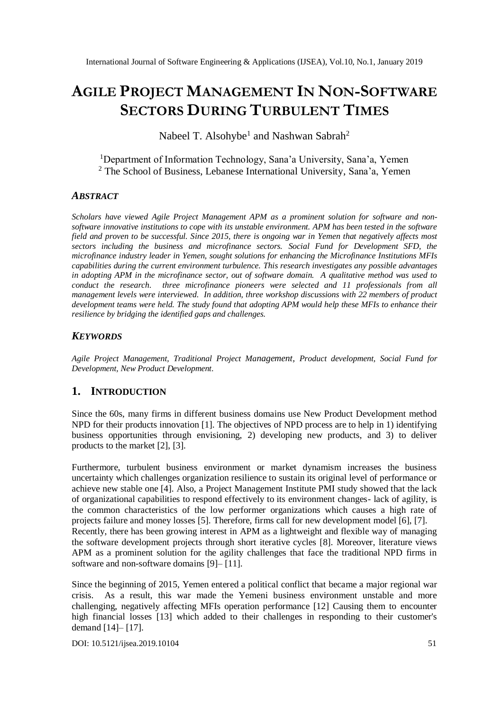# **AGILE PROJECT MANAGEMENT IN NON-SOFTWARE SECTORS DURING TURBULENT TIMES**

Nabeel T. Alsohybe<sup>1</sup> and Nashwan Sabrah<sup>2</sup>

<sup>1</sup>Department of Information Technology, Sana'a University, Sana'a, Yemen <sup>2</sup> The School of Business, Lebanese International University, Sana'a, Yemen

#### *ABSTRACT*

*Scholars have viewed Agile Project Management APM as a prominent solution for software and nonsoftware innovative institutions to cope with its unstable environment. APM has been tested in the software field and proven to be successful. Since 2015, there is ongoing war in Yemen that negatively affects most sectors including the business and microfinance sectors. Social Fund for Development SFD, the microfinance industry leader in Yemen, sought solutions for enhancing the Microfinance Institutions MFIs capabilities during the current environment turbulence. This research investigates any possible advantages in adopting APM in the microfinance sector, out of software domain. A qualitative method was used to conduct the research. three microfinance pioneers were selected and 11 professionals from all management levels were interviewed. In addition, three workshop discussions with 22 members of product development teams were held. The study found that adopting APM would help these MFIs to enhance their resilience by bridging the identified gaps and challenges.*

#### *KEYWORDS*

*Agile Project Management, Traditional Project Management, Product development, Social Fund for Development, New Product Development.* 

## **1. INTRODUCTION**

Since the 60s, many firms in different business domains use New Product Development method NPD for their products innovation [1]. The objectives of NPD process are to help in 1) identifying business opportunities through envisioning, 2) developing new products, and 3) to deliver products to the market [2], [3].

Furthermore, turbulent business environment or market dynamism increases the business uncertainty which challenges organization resilience to sustain its original level of performance or achieve new stable one [4]. Also, a Project Management Institute PMI study showed that the lack of organizational capabilities to respond effectively to its environment changes- lack of agility, is the common characteristics of the low performer organizations which causes a high rate of projects failure and money losses [5]. Therefore, firms call for new development model [6], [7]. Recently, there has been growing interest in APM as a lightweight and flexible way of managing the software development projects through short iterative cycles [8]. Moreover, literature views APM as a prominent solution for the agility challenges that face the traditional NPD firms in software and non-software domains [9]– [11].

Since the beginning of 2015, Yemen entered a political conflict that became a major regional war crisis. As a result, this war made the Yemeni business environment unstable and more challenging, negatively affecting MFIs operation performance [12] Causing them to encounter high financial losses [13] which added to their challenges in responding to their customer's demand [14]– [17].

DOI: 10.5121/ijsea.2019.10104 51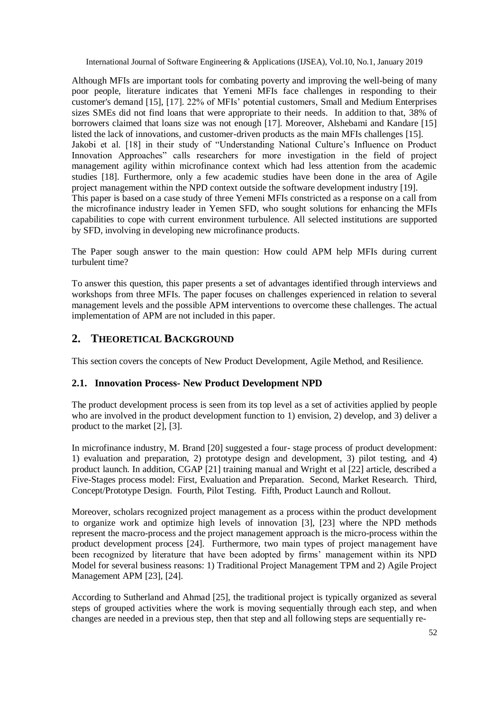Although MFIs are important tools for combating poverty and improving the well-being of many poor people, literature indicates that Yemeni MFIs face challenges in responding to their customer's demand [15], [17]. 22% of MFIs' potential customers, Small and Medium Enterprises sizes SMEs did not find loans that were appropriate to their needs. In addition to that, 38% of borrowers claimed that loans size was not enough [17]. Moreover, Alshebami and Kandare [15] listed the lack of innovations, and customer-driven products as the main MFIs challenges [15]. Jakobi et al. [18] in their study of "Understanding National Culture's Influence on Product Innovation Approaches" calls researchers for more investigation in the field of project management agility within microfinance context which had less attention from the academic studies [18]. Furthermore, only a few academic studies have been done in the area of Agile project management within the NPD context outside the software development industry [19]. This paper is based on a case study of three Yemeni MFIs constricted as a response on a call from the microfinance industry leader in Yemen SFD, who sought solutions for enhancing the MFIs capabilities to cope with current environment turbulence. All selected institutions are supported by SFD, involving in developing new microfinance products.

The Paper sough answer to the main question: How could APM help MFIs during current turbulent time?

To answer this question, this paper presents a set of advantages identified through interviews and workshops from three MFIs. The paper focuses on challenges experienced in relation to several management levels and the possible APM interventions to overcome these challenges. The actual implementation of APM are not included in this paper.

# **2. THEORETICAL BACKGROUND**

This section covers the concepts of New Product Development, Agile Method, and Resilience.

#### **2.1. Innovation Process- New Product Development NPD**

The product development process is seen from its top level as a set of activities applied by people who are involved in the product development function to 1) envision, 2) develop, and 3) deliver a product to the market [2], [3].

In microfinance industry, M. Brand [20] suggested a four- stage process of product development: 1) evaluation and preparation, 2) prototype design and development, 3) pilot testing, and 4) product launch. In addition, CGAP [21] training manual and Wright et al [22] article, described a Five-Stages process model: First, Evaluation and Preparation. Second, Market Research. Third, Concept/Prototype Design. Fourth, Pilot Testing. Fifth, Product Launch and Rollout.

Moreover, scholars recognized project management as a process within the product development to organize work and optimize high levels of innovation [3], [23] where the NPD methods represent the macro-process and the project management approach is the micro-process within the product development process [24]. Furthermore, two main types of project management have been recognized by literature that have been adopted by firms' management within its NPD Model for several business reasons: 1) Traditional Project Management TPM and 2) Agile Project Management APM [23], [24].

According to Sutherland and Ahmad [25], the traditional project is typically organized as several steps of grouped activities where the work is moving sequentially through each step, and when changes are needed in a previous step, then that step and all following steps are sequentially re-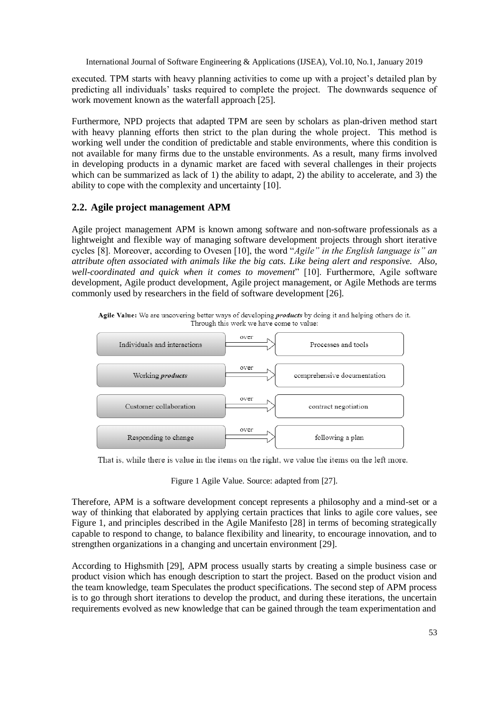executed. TPM starts with heavy planning activities to come up with a project's detailed plan by predicting all individuals' tasks required to complete the project. The downwards sequence of work movement known as the waterfall approach [25].

Furthermore, NPD projects that adapted TPM are seen by scholars as plan-driven method start with heavy planning efforts then strict to the plan during the whole project. This method is working well under the condition of predictable and stable environments, where this condition is not available for many firms due to the unstable environments. As a result, many firms involved in developing products in a dynamic market are faced with several challenges in their projects which can be summarized as lack of 1) the ability to adapt, 2) the ability to accelerate, and 3) the ability to cope with the complexity and uncertainty [10].

## **2.2. Agile project management APM**

Agile project management APM is known among software and non-software professionals as a lightweight and flexible way of managing software development projects through short iterative cycles [8]. Moreover, according to Ovesen [10], the word "*Agile" in the English language is" an attribute often associated with animals like the big cats. Like being alert and responsive. Also, well-coordinated and quick when it comes to movement*" [10]. Furthermore, Agile software development, Agile product development, Agile project management, or Agile Methods are terms commonly used by researchers in the field of software development [26].





That is, while there is value in the items on the right, we value the items on the left more.

Figure 1 Agile Value. Source: adapted from [27].

Therefore, APM is a software development concept represents a philosophy and a mind-set or a way of thinking that elaborated by applying certain practices that links to agile core values, see Figure 1, and principles described in the Agile Manifesto [28] in terms of becoming strategically capable to respond to change, to balance flexibility and linearity, to encourage innovation, and to strengthen organizations in a changing and uncertain environment [29].

According to Highsmith [29], APM process usually starts by creating a simple business case or product vision which has enough description to start the project. Based on the product vision and the team knowledge, team Speculates the product specifications. The second step of APM process is to go through short iterations to develop the product, and during these iterations, the uncertain requirements evolved as new knowledge that can be gained through the team experimentation and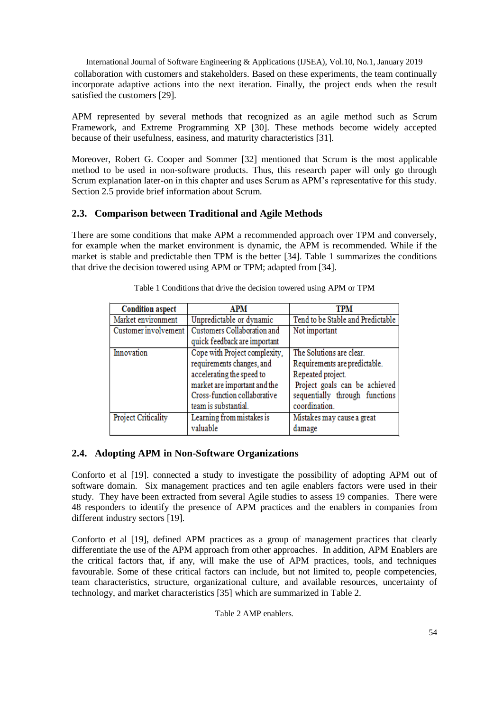International Journal of Software Engineering & Applications (IJSEA), Vol.10, No.1, January 2019 collaboration with customers and stakeholders. Based on these experiments, the team continually incorporate adaptive actions into the next iteration. Finally, the project ends when the result satisfied the customers [29].

APM represented by several methods that recognized as an agile method such as Scrum Framework, and Extreme Programming XP [30]. These methods become widely accepted because of their usefulness, easiness, and maturity characteristics [31].

Moreover, Robert G. Cooper and Sommer [32] mentioned that Scrum is the most applicable method to be used in non-software products. Thus, this research paper will only go through Scrum explanation later-on in this chapter and uses Scrum as APM's representative for this study. Section 2.5 provide brief information about Scrum.

## **2.3. Comparison between Traditional and Agile Methods**

There are some conditions that make APM a recommended approach over TPM and conversely, for example when the market environment is dynamic, the APM is recommended. While if the market is stable and predictable then TPM is the better [34]. Table 1 summarizes the conditions that drive the decision towered using APM or TPM; adapted from [34].

| <b>Condition aspect</b>    | APM                           | <b>TPM</b>                        |
|----------------------------|-------------------------------|-----------------------------------|
| Market environment         | Unpredictable or dynamic      | Tend to be Stable and Predictable |
| Customer involvement       | Customers Collaboration and   | Not important                     |
|                            | quick feedback are important  |                                   |
| Innovation                 | Cope with Project complexity, | The Solutions are clear.          |
|                            | requirements changes, and     | Requirements are predictable.     |
|                            | accelerating the speed to     | Repeated project.                 |
|                            | market are important and the  | Project goals can be achieved     |
|                            | Cross-function collaborative  | sequentially through functions    |
|                            | team is substantial.          | coordination.                     |
| <b>Project Criticality</b> | Learning from mistakes is     | Mistakes may cause a great        |
|                            | valuable                      | damage                            |

Table 1 Conditions that drive the decision towered using APM or TPM

## **2.4. Adopting APM in Non-Software Organizations**

Conforto et al [19]. connected a study to investigate the possibility of adopting APM out of software domain. Six management practices and ten agile enablers factors were used in their study. They have been extracted from several Agile studies to assess 19 companies. There were 48 responders to identify the presence of APM practices and the enablers in companies from different industry sectors [19].

Conforto et al [19], defined APM practices as a group of management practices that clearly differentiate the use of the APM approach from other approaches. In addition, APM Enablers are the critical factors that, if any, will make the use of APM practices, tools, and techniques favourable. Some of these critical factors can include, but not limited to, people competencies, team characteristics, structure, organizational culture, and available resources, uncertainty of technology, and market characteristics [35] which are summarized in Table 2.

Table 2 AMP enablers.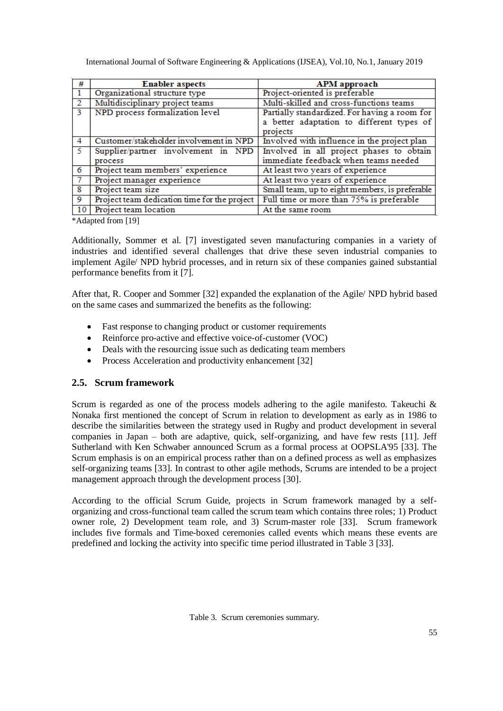| #  | <b>Enabler aspects</b>                       | <b>APM</b> approach                            |
|----|----------------------------------------------|------------------------------------------------|
|    | Organizational structure type                | Project-oriented is preferable                 |
| -2 | Multidisciplinary project teams              | Multi-skilled and cross-functions teams        |
| 3  | NPD process formalization level              | Partially standardized. For having a room for  |
|    |                                              | a better adaptation to different types of      |
|    |                                              | projects                                       |
| 4  | Customer/stakeholder involvement in NPD      | Involved with influence in the project plan    |
| -5 | Supplier/partner involvement<br>in NPD       | Involved in all project phases to obtain       |
|    | process                                      | immediate feedback when teams needed           |
| 6  | Project team members' experience             | At least two years of experience               |
|    | Project manager experience                   | At least two years of experience               |
| 8  | Project team size                            | Small team, up to eight members, is preferable |
| -9 | Project team dedication time for the project | Full time or more than 75% is preferable       |
| 10 | Project team location                        | At the same room                               |

\*Adapted from [19]

Additionally, Sommer et al. [7] investigated seven manufacturing companies in a variety of industries and identified several challenges that drive these seven industrial companies to implement Agile/ NPD hybrid processes, and in return six of these companies gained substantial performance benefits from it [7].

After that, R. Cooper and Sommer [32] expanded the explanation of the Agile/ NPD hybrid based on the same cases and summarized the benefits as the following:

- Fast response to changing product or customer requirements
- Reinforce pro-active and effective voice-of-customer (VOC)
- Deals with the resourcing issue such as dedicating team members
- Process Acceleration and productivity enhancement [32]

#### **2.5. Scrum framework**

Scrum is regarded as one of the process models adhering to the agile manifesto. Takeuchi & Nonaka first mentioned the concept of Scrum in relation to development as early as in 1986 to describe the similarities between the strategy used in Rugby and product development in several companies in Japan – both are adaptive, quick, self-organizing, and have few rests [11]. Jeff Sutherland with Ken Schwaber announced Scrum as a formal process at OOPSLA'95 [33]. The Scrum emphasis is on an empirical process rather than on a defined process as well as emphasizes self-organizing teams [33]. In contrast to other agile methods, Scrums are intended to be a project management approach through the development process [30].

According to the official Scrum Guide, projects in Scrum framework managed by a selforganizing and cross-functional team called the scrum team which contains three roles; 1) Product owner role, 2) Development team role, and 3) Scrum-master role [33]. Scrum framework includes five formals and Time-boxed ceremonies called events which means these events are predefined and locking the activity into specific time period illustrated in Table 3 [33].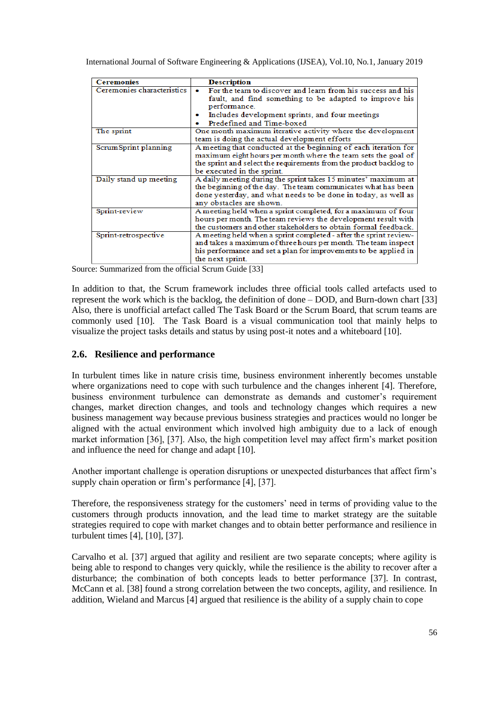| <b>Ceremonies</b>          | <b>Description</b>                                                                                                                                                                                                                   |  |  |
|----------------------------|--------------------------------------------------------------------------------------------------------------------------------------------------------------------------------------------------------------------------------------|--|--|
| Ceremonies characteristics | For the team to discover and learn from his success and his<br>fault, and find something to be adapted to improve his<br>performance.<br>Includes development sprints, and four meetings<br>Predefined and Time-boxed                |  |  |
| The sprint                 | One month maximum iterative activity where the development<br>team is doing the actual development efforts                                                                                                                           |  |  |
| ScrumSprint planning       | A meeting that conducted at the beginning of each iteration for<br>maximum eight hours per month where the team sets the goal of<br>the sprint and select the requirements from the product backlog to<br>be executed in the sprint. |  |  |
| Daily stand up meeting     | A daily meeting during the sprint takes 15 minutes' maximum at<br>the beginning of the day. The team communicates what has been<br>done yesterday, and what needs to be done in today, as well as<br>any obstacles are shown.        |  |  |
| Sprint-review              | A meeting held when a sprint completed, for a maximum of four<br>hours per month. The team reviews the development result with<br>the customers and other stakeholders to obtain formal feedback.                                    |  |  |
| Sprint-retrospective       | A meeting held when a sprint completed - after the sprint review-<br>and takes a maximum of three hours per month. The team inspect<br>his performance and set a plan for improvements to be applied in<br>the next sprint.          |  |  |

Source: Summarized from the official Scrum Guide [33]

In addition to that, the Scrum framework includes three official tools called artefacts used to represent the work which is the backlog, the definition of done – DOD, and Burn-down chart [33] Also, there is unofficial artefact called The Task Board or the Scrum Board, that scrum teams are commonly used [10]. The Task Board is a visual communication tool that mainly helps to visualize the project tasks details and status by using post-it notes and a whiteboard [10].

## **2.6. Resilience and performance**

In turbulent times like in nature crisis time, business environment inherently becomes unstable where organizations need to cope with such turbulence and the changes inherent [4]. Therefore, business environment turbulence can demonstrate as demands and customer's requirement changes, market direction changes, and tools and technology changes which requires a new business management way because previous business strategies and practices would no longer be aligned with the actual environment which involved high ambiguity due to a lack of enough market information [36], [37]. Also, the high competition level may affect firm's market position and influence the need for change and adapt [10].

Another important challenge is operation disruptions or unexpected disturbances that affect firm's supply chain operation or firm's performance [4], [37].

Therefore, the responsiveness strategy for the customers' need in terms of providing value to the customers through products innovation, and the lead time to market strategy are the suitable strategies required to cope with market changes and to obtain better performance and resilience in turbulent times [4], [10], [37].

Carvalho et al. [37] argued that agility and resilient are two separate concepts; where agility is being able to respond to changes very quickly, while the resilience is the ability to recover after a disturbance; the combination of both concepts leads to better performance [37]. In contrast, McCann et al. [38] found a strong correlation between the two concepts, agility, and resilience. In addition, Wieland and Marcus [4] argued that resilience is the ability of a supply chain to cope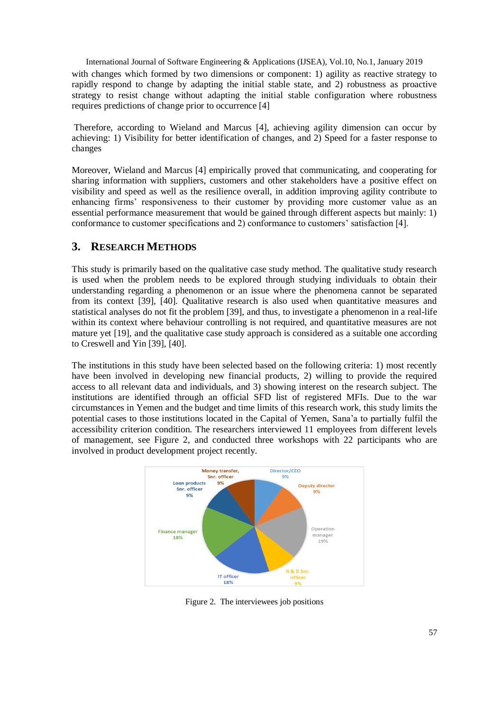International Journal of Software Engineering & Applications (IJSEA), Vol.10, No.1, January 2019 with changes which formed by two dimensions or component: 1) agility as reactive strategy to rapidly respond to change by adapting the initial stable state, and 2) robustness as proactive strategy to resist change without adapting the initial stable configuration where robustness requires predictions of change prior to occurrence [4]

Therefore, according to Wieland and Marcus [4], achieving agility dimension can occur by achieving: 1) Visibility for better identification of changes, and 2) Speed for a faster response to changes

Moreover, Wieland and Marcus [4] empirically proved that communicating, and cooperating for sharing information with suppliers, customers and other stakeholders have a positive effect on visibility and speed as well as the resilience overall, in addition improving agility contribute to enhancing firms' responsiveness to their customer by providing more customer value as an essential performance measurement that would be gained through different aspects but mainly: 1) conformance to customer specifications and 2) conformance to customers' satisfaction [4].

# **3. RESEARCH METHODS**

This study is primarily based on the qualitative case study method. The qualitative study research is used when the problem needs to be explored through studying individuals to obtain their understanding regarding a phenomenon or an issue where the phenomena cannot be separated from its context [39], [40]. Qualitative research is also used when quantitative measures and statistical analyses do not fit the problem [39], and thus, to investigate a phenomenon in a real-life within its context where behaviour controlling is not required, and quantitative measures are not mature yet [19], and the qualitative case study approach is considered as a suitable one according to Creswell and Yin [39], [40].

The institutions in this study have been selected based on the following criteria: 1) most recently have been involved in developing new financial products, 2) willing to provide the required access to all relevant data and individuals, and 3) showing interest on the research subject. The institutions are identified through an official SFD list of registered MFIs. Due to the war circumstances in Yemen and the budget and time limits of this research work, this study limits the potential cases to those institutions located in the Capital of Yemen, Sana'a to partially fulfil the accessibility criterion condition. The researchers interviewed 11 employees from different levels of management, see Figure 2, and conducted three workshops with 22 participants who are involved in product development project recently.



Figure 2. The interviewees job positions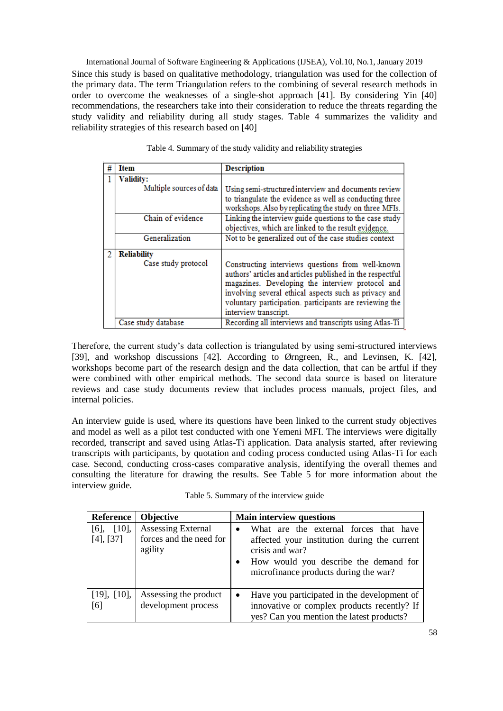International Journal of Software Engineering & Applications (IJSEA), Vol.10, No.1, January 2019 Since this study is based on qualitative methodology, triangulation was used for the collection of the primary data. The term Triangulation refers to the combining of several research methods in order to overcome the weaknesses of a single-shot approach [41]. By considering Yin [40] recommendations, the researchers take into their consideration to reduce the threats regarding the study validity and reliability during all study stages. Table 4 summarizes the validity and reliability strategies of this research based on [40]

| # | Item                     | <b>Description</b>                                                                                                                                                                                                                                                                                               |
|---|--------------------------|------------------------------------------------------------------------------------------------------------------------------------------------------------------------------------------------------------------------------------------------------------------------------------------------------------------|
|   | <b>Validity:</b>         |                                                                                                                                                                                                                                                                                                                  |
|   | Multiple sources of data | Using semi-structured interview and documents review                                                                                                                                                                                                                                                             |
|   |                          | to triangulate the evidence as well as conducting three<br>workshops. Also by replicating the study on three MFIs.                                                                                                                                                                                               |
|   | Chain of evidence        | Linking the interview guide questions to the case study                                                                                                                                                                                                                                                          |
|   |                          | objectives, which are linked to the result evidence.                                                                                                                                                                                                                                                             |
|   | Generalization           | Not to be generalized out of the case studies context                                                                                                                                                                                                                                                            |
|   | <b>Reliability</b>       |                                                                                                                                                                                                                                                                                                                  |
|   | Case study protocol      | Constructing interviews questions from well-known<br>authors' articles and articles published in the respectful<br>magazines. Developing the interview protocol and<br>involving several ethical aspects such as privacy and<br>voluntary participation, participants are reviewing the<br>interview transcript. |
|   | Case study database      | Recording all interviews and transcripts using Atlas-Ti                                                                                                                                                                                                                                                          |

Table 4. Summary of the study validity and reliability strategies

Therefore, the current study's data collection is triangulated by using semi-structured interviews [39], and workshop discussions [42]. According to Ørngreen, R., and Levinsen, K. [42], workshops become part of the research design and the data collection, that can be artful if they were combined with other empirical methods. The second data source is based on literature reviews and case study documents review that includes process manuals, project files, and internal policies.

An interview guide is used, where its questions have been linked to the current study objectives and model as well as a pilot test conducted with one Yemeni MFI. The interviews were digitally recorded, transcript and saved using Atlas-Ti application. Data analysis started, after reviewing transcripts with participants, by quotation and coding process conducted using Atlas-Ti for each case. Second, conducting cross-cases comparative analysis, identifying the overall themes and consulting the literature for drawing the results. See Table 5 for more information about the interview guide.

| Table 5. Summary of the interview guide |  |  |  |
|-----------------------------------------|--|--|--|
|-----------------------------------------|--|--|--|

| Reference                        | <b>Objective</b>                                         | <b>Main interview questions</b>                                                                                                                                                                                       |  |
|----------------------------------|----------------------------------------------------------|-----------------------------------------------------------------------------------------------------------------------------------------------------------------------------------------------------------------------|--|
| $[10]$ ,<br>$[6]$ ,<br>[4], [37] | Assessing External<br>forces and the need for<br>agility | What are the external forces that have<br>$\bullet$<br>affected your institution during the current<br>crisis and war?<br>How would you describe the demand for<br>$\bullet$<br>microfinance products during the war? |  |
| $[19]$ , $[10]$ ,<br>[6]         | Assessing the product<br>development process             | Have you participated in the development of<br>$\bullet$<br>innovative or complex products recently? If<br>yes? Can you mention the latest products?                                                                  |  |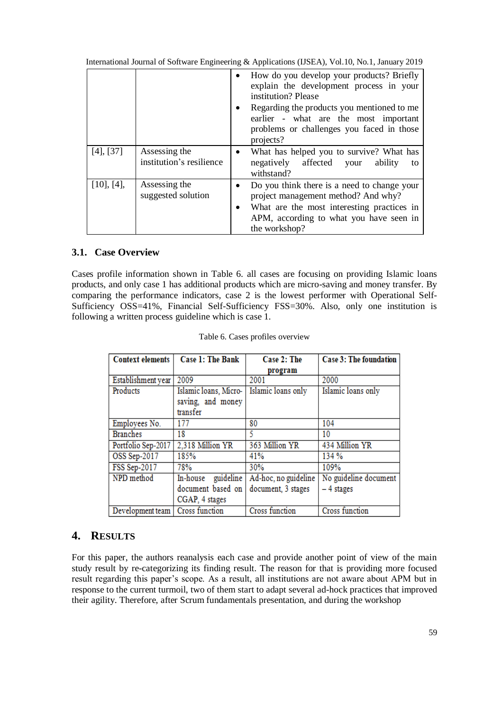|            |                                           | $\bullet$<br>$\bullet$ | How do you develop your products? Briefly<br>explain the development process in your<br>institution? Please<br>Regarding the products you mentioned to me<br>earlier - what are the most important<br>problems or challenges you faced in those<br>projects? |
|------------|-------------------------------------------|------------------------|--------------------------------------------------------------------------------------------------------------------------------------------------------------------------------------------------------------------------------------------------------------|
| [4], [37]  | Assessing the<br>institution's resilience | $\bullet$              | What has helped you to survive? What has<br>negatively affected your ability<br>to<br>withstand?                                                                                                                                                             |
| [10], [4], | Assessing the<br>suggested solution       | $\bullet$<br>$\bullet$ | Do you think there is a need to change your<br>project management method? And why?<br>What are the most interesting practices in<br>APM, according to what you have seen in<br>the workshop?                                                                 |

## **3.1. Case Overview**

Cases profile information shown in Table 6. all cases are focusing on providing Islamic loans products, and only case 1 has additional products which are micro-saving and money transfer. By comparing the performance indicators, case 2 is the lowest performer with Operational Self-Sufficiency OSS=41%, Financial Self-Sufficiency FSS=30%. Also, only one institution is following a written process guideline which is case 1.

| <b>Context elements</b>           | <b>Case 1: The Bank</b> | Case 2: The           | <b>Case 3: The foundation</b> |
|-----------------------------------|-------------------------|-----------------------|-------------------------------|
|                                   |                         | program               |                               |
| Establishment year                | 2009                    | 2001                  | 2000                          |
| Products                          | Islamic loans, Micro-   | Islamic loans only    | Islamic loans only            |
|                                   | saving, and money       |                       |                               |
|                                   | transfer                |                       |                               |
| Employees No.                     | 177                     | 80                    | 104                           |
| <b>Branches</b>                   | 18                      | 5                     | 10                            |
| Portfolio Sep-2017                | 2,318 Million YR        | 363 Million YR        | 434 Million YR                |
| OSS Sep-2017                      | 185%                    | 41%                   | 134%                          |
| <b>FSS Sep-2017</b>               | 78%                     | 30%                   | 109%                          |
| NPD method                        | guideline<br>In-house   | Ad-hoc, no guideline  | No guideline document         |
|                                   | document based on       | document, 3 stages    | $-4$ stages                   |
|                                   | CGAP, 4 stages          |                       |                               |
| Development team   Cross function |                         | <b>Cross function</b> | <b>Cross function</b>         |

# **4. RESULTS**

For this paper, the authors reanalysis each case and provide another point of view of the main study result by re-categorizing its finding result. The reason for that is providing more focused result regarding this paper's scope. As a result, all institutions are not aware about APM but in response to the current turmoil, two of them start to adapt several ad-hock practices that improved their agility. Therefore, after Scrum fundamentals presentation, and during the workshop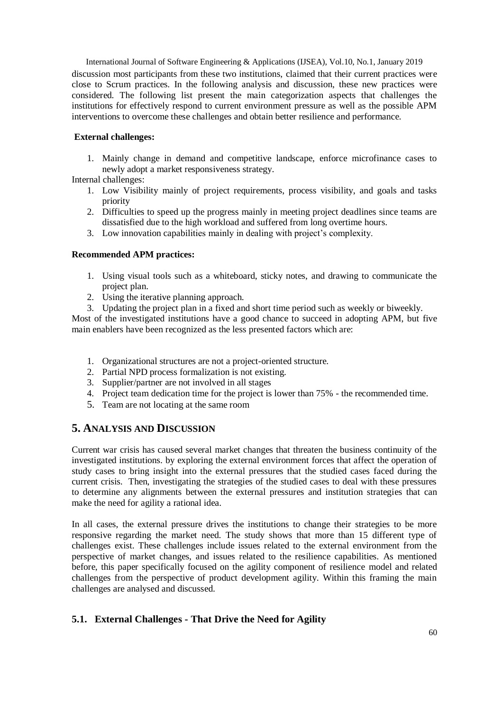International Journal of Software Engineering & Applications (IJSEA), Vol.10, No.1, January 2019 discussion most participants from these two institutions, claimed that their current practices were close to Scrum practices. In the following analysis and discussion, these new practices were considered. The following list present the main categorization aspects that challenges the institutions for effectively respond to current environment pressure as well as the possible APM interventions to overcome these challenges and obtain better resilience and performance.

#### **External challenges:**

1. Mainly change in demand and competitive landscape, enforce microfinance cases to newly adopt a market responsiveness strategy.

Internal challenges:

- 1. Low Visibility mainly of project requirements, process visibility, and goals and tasks priority
- 2. Difficulties to speed up the progress mainly in meeting project deadlines since teams are dissatisfied due to the high workload and suffered from long overtime hours.
- 3. Low innovation capabilities mainly in dealing with project's complexity.

#### **Recommended APM practices:**

- 1. Using visual tools such as a whiteboard, sticky notes, and drawing to communicate the project plan.
- 2. Using the iterative planning approach.
- 3. Updating the project plan in a fixed and short time period such as weekly or biweekly.

Most of the investigated institutions have a good chance to succeed in adopting APM, but five main enablers have been recognized as the less presented factors which are:

- 1. Organizational structures are not a project-oriented structure.
- 2. Partial NPD process formalization is not existing.
- 3. Supplier/partner are not involved in all stages
- 4. Project team dedication time for the project is lower than 75% the recommended time.
- 5. Team are not locating at the same room

## **5. ANALYSIS AND DISCUSSION**

Current war crisis has caused several market changes that threaten the business continuity of the investigated institutions. by exploring the external environment forces that affect the operation of study cases to bring insight into the external pressures that the studied cases faced during the current crisis. Then, investigating the strategies of the studied cases to deal with these pressures to determine any alignments between the external pressures and institution strategies that can make the need for agility a rational idea.

In all cases, the external pressure drives the institutions to change their strategies to be more responsive regarding the market need. The study shows that more than 15 different type of challenges exist. These challenges include issues related to the external environment from the perspective of market changes, and issues related to the resilience capabilities. As mentioned before, this paper specifically focused on the agility component of resilience model and related challenges from the perspective of product development agility. Within this framing the main challenges are analysed and discussed.

## **5.1. External Challenges - That Drive the Need for Agility**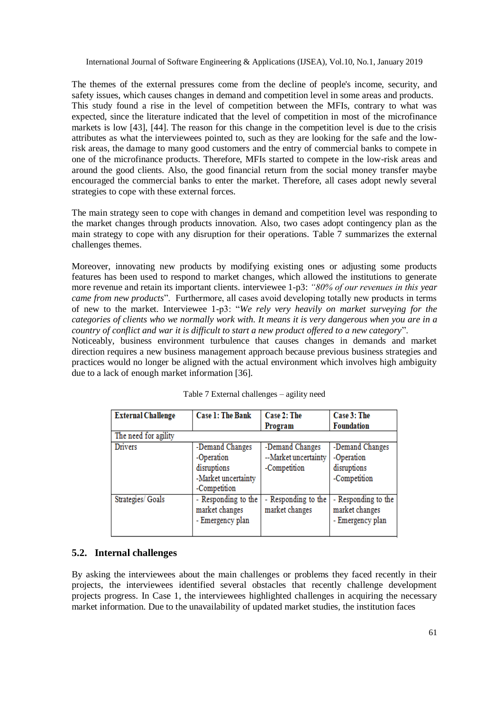The themes of the external pressures come from the decline of people's income, security, and safety issues, which causes changes in demand and competition level in some areas and products. This study found a rise in the level of competition between the MFIs, contrary to what was expected, since the literature indicated that the level of competition in most of the microfinance markets is low [43], [44]. The reason for this change in the competition level is due to the crisis attributes as what the interviewees pointed to, such as they are looking for the safe and the lowrisk areas, the damage to many good customers and the entry of commercial banks to compete in one of the microfinance products. Therefore, MFIs started to compete in the low-risk areas and around the good clients. Also, the good financial return from the social money transfer maybe encouraged the commercial banks to enter the market. Therefore, all cases adopt newly several strategies to cope with these external forces.

The main strategy seen to cope with changes in demand and competition level was responding to the market changes through products innovation. Also, two cases adopt contingency plan as the main strategy to cope with any disruption for their operations. Table 7 summarizes the external challenges themes.

Moreover, innovating new products by modifying existing ones or adjusting some products features has been used to respond to market changes, which allowed the institutions to generate more revenue and retain its important clients. interviewee 1-p3: *"80% of our revenues in this year came from new products*". Furthermore, all cases avoid developing totally new products in terms of new to the market. Interviewee 1-p3: "*We rely very heavily on market surveying for the categories of clients who we normally work with. It means it is very dangerous when you are in a country of conflict and war it is difficult to start a new product offered to a new category*".

Noticeably, business environment turbulence that causes changes in demands and market direction requires a new business management approach because previous business strategies and practices would no longer be aligned with the actual environment which involves high ambiguity due to a lack of enough market information [36].

| <b>External Challenge</b> | <b>Case 1: The Bank</b>                                                             | Case 2: The                                             | Case 3: The                                                  |
|---------------------------|-------------------------------------------------------------------------------------|---------------------------------------------------------|--------------------------------------------------------------|
|                           |                                                                                     | Program                                                 | <b>Foundation</b>                                            |
| The need for agility      |                                                                                     |                                                         |                                                              |
| <b>Drivers</b>            | -Demand Changes<br>-Operation<br>disruptions<br>-Market uncertainty<br>-Competition | -Demand Changes<br>--Market uncertainty<br>-Competition | -Demand Changes<br>-Operation<br>disruptions<br>-Competition |
| Strategies/ Goals         | - Responding to the<br>market changes<br>- Emergency plan                           | - Responding to the<br>market changes                   | - Responding to the<br>market changes<br>- Emergency plan    |

|  | Table 7 External challenges - agility need |  |
|--|--------------------------------------------|--|
|  |                                            |  |

## **5.2. Internal challenges**

By asking the interviewees about the main challenges or problems they faced recently in their projects, the interviewees identified several obstacles that recently challenge development projects progress. In Case 1, the interviewees highlighted challenges in acquiring the necessary market information. Due to the unavailability of updated market studies, the institution faces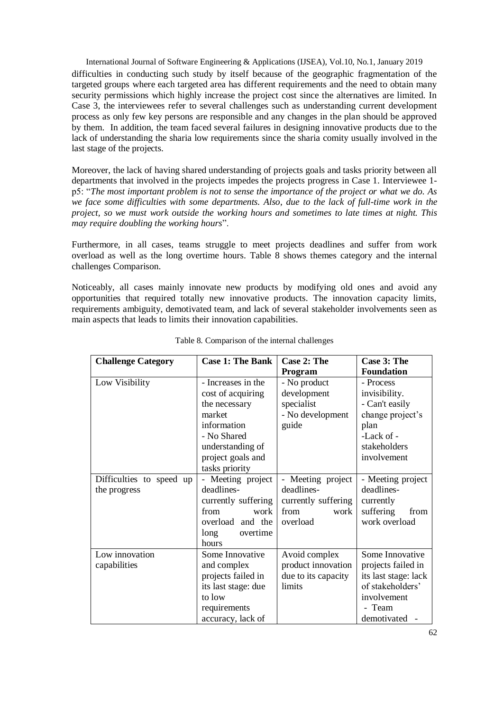International Journal of Software Engineering & Applications (IJSEA), Vol.10, No.1, January 2019 difficulties in conducting such study by itself because of the geographic fragmentation of the targeted groups where each targeted area has different requirements and the need to obtain many security permissions which highly increase the project cost since the alternatives are limited. In Case 3, the interviewees refer to several challenges such as understanding current development process as only few key persons are responsible and any changes in the plan should be approved by them. In addition, the team faced several failures in designing innovative products due to the lack of understanding the sharia low requirements since the sharia comity usually involved in the last stage of the projects.

Moreover, the lack of having shared understanding of projects goals and tasks priority between all departments that involved in the projects impedes the projects progress in Case 1. Interviewee 1 p5: "*The most important problem is not to sense the importance of the project or what we do. As we face some difficulties with some departments. Also, due to the lack of full-time work in the project, so we must work outside the working hours and sometimes to late times at night. This may require doubling the working hours*".

Furthermore, in all cases, teams struggle to meet projects deadlines and suffer from work overload as well as the long overtime hours. Table 8 shows themes category and the internal challenges Comparison.

Noticeably, all cases mainly innovate new products by modifying old ones and avoid any opportunities that required totally new innovative products. The innovation capacity limits, requirements ambiguity, demotivated team, and lack of several stakeholder involvements seen as main aspects that leads to limits their innovation capabilities.

| <b>Challenge Category</b> | <b>Case 1: The Bank</b> | <b>Case 2: The</b>  | Case 3: The          |
|---------------------------|-------------------------|---------------------|----------------------|
|                           |                         | Program             | <b>Foundation</b>    |
| Low Visibility            | - Increases in the      | - No product        | - Process            |
|                           | cost of acquiring       | development         | invisibility.        |
|                           | the necessary           | specialist          | - Can't easily       |
|                           | market                  | - No development    | change project's     |
|                           | information             | guide               | plan                 |
|                           | - No Shared             |                     | -Lack of -           |
|                           | understanding of        |                     | stakeholders         |
|                           | project goals and       |                     | involvement          |
|                           | tasks priority          |                     |                      |
| Difficulties to speed up  | - Meeting project       | - Meeting project   | - Meeting project    |
| the progress              | deadlines-              | deadlines-          | deadlines-           |
|                           | currently suffering     | currently suffering | currently            |
|                           | from<br>work            | from<br>work        | suffering<br>from    |
|                           | overload and the        | overload            | work overload        |
|                           | overtime<br>long        |                     |                      |
|                           | hours                   |                     |                      |
| Low innovation            | Some Innovative         | Avoid complex       | Some Innovative      |
| capabilities              | and complex             | product innovation  | projects failed in   |
|                           | projects failed in      | due to its capacity | its last stage: lack |
|                           | its last stage: due     | limits              | of stakeholders'     |
|                           | to low                  |                     | involvement          |
|                           | requirements            |                     | - Team               |
|                           | accuracy, lack of       |                     | demotivated -        |

Table 8. Comparison of the internal challenges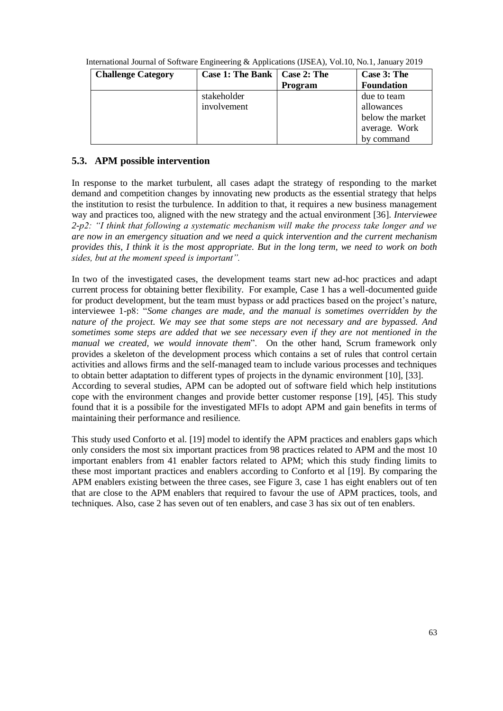| <b>Challenge Category</b> | Case 1: The Bank   Case 2: The |                | Case 3: The       |
|---------------------------|--------------------------------|----------------|-------------------|
|                           |                                | <b>Program</b> | <b>Foundation</b> |
|                           | stakeholder                    |                | due to team       |
|                           | involvement                    |                | allowances        |
|                           |                                |                | below the market  |
|                           |                                |                | average. Work     |
|                           |                                |                | by command        |

## **5.3. APM possible intervention**

In response to the market turbulent, all cases adapt the strategy of responding to the market demand and competition changes by innovating new products as the essential strategy that helps the institution to resist the turbulence. In addition to that, it requires a new business management way and practices too, aligned with the new strategy and the actual environment [36]. *Interviewee 2-p2: "I think that following a systematic mechanism will make the process take longer and we are now in an emergency situation and we need a quick intervention and the current mechanism provides this, I think it is the most appropriate. But in the long term, we need to work on both sides, but at the moment speed is important".*

In two of the investigated cases, the development teams start new ad-hoc practices and adapt current process for obtaining better flexibility. For example, Case 1 has a well-documented guide for product development, but the team must bypass or add practices based on the project's nature, interviewee 1-p8: "*Some changes are made, and the manual is sometimes overridden by the nature of the project. We may see that some steps are not necessary and are bypassed. And sometimes some steps are added that we see necessary even if they are not mentioned in the manual we created, we would innovate them*". On the other hand, Scrum framework only provides a skeleton of the development process which contains a set of rules that control certain activities and allows firms and the self-managed team to include various processes and techniques to obtain better adaptation to different types of projects in the dynamic environment [10], [33]. According to several studies, APM can be adopted out of software field which help institutions cope with the environment changes and provide better customer response [19], [45]. This study found that it is a possibile for the investigated MFIs to adopt APM and gain benefits in terms of maintaining their performance and resilience.

This study used Conforto et al. [19] model to identify the APM practices and enablers gaps which only considers the most six important practices from 98 practices related to APM and the most 10 important enablers from 41 enabler factors related to APM; which this study finding limits to these most important practices and enablers according to Conforto et al [19]. By comparing the APM enablers existing between the three cases, see Figure 3, case 1 has eight enablers out of ten that are close to the APM enablers that required to favour the use of APM practices, tools, and techniques. Also, case 2 has seven out of ten enablers, and case 3 has six out of ten enablers.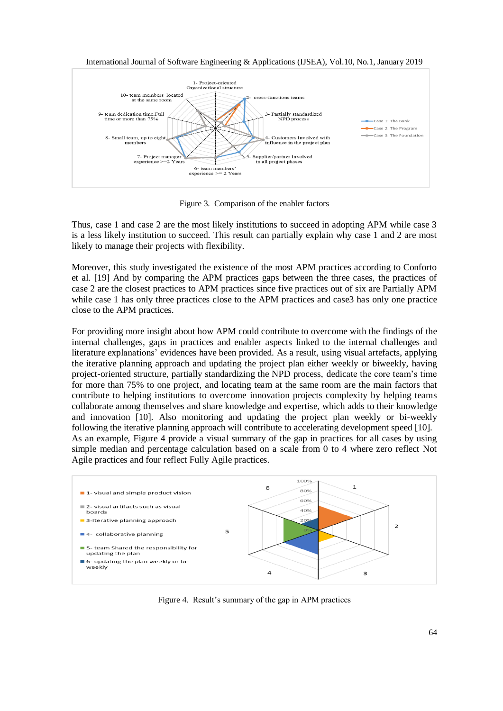



Figure 3. Comparison of the enabler factors

Thus, case 1 and case 2 are the most likely institutions to succeed in adopting APM while case 3 is a less likely institution to succeed. This result can partially explain why case 1 and 2 are most likely to manage their projects with flexibility.

Moreover, this study investigated the existence of the most APM practices according to Conforto et al. [19] And by comparing the APM practices gaps between the three cases, the practices of case 2 are the closest practices to APM practices since five practices out of six are Partially APM while case 1 has only three practices close to the APM practices and case3 has only one practice close to the APM practices.

For providing more insight about how APM could contribute to overcome with the findings of the internal challenges, gaps in practices and enabler aspects linked to the internal challenges and literature explanations' evidences have been provided. As a result, using visual artefacts, applying the iterative planning approach and updating the project plan either weekly or biweekly, having project-oriented structure, partially standardizing the NPD process, dedicate the core team's time for more than 75% to one project, and locating team at the same room are the main factors that contribute to helping institutions to overcome innovation projects complexity by helping teams collaborate among themselves and share knowledge and expertise, which adds to their knowledge and innovation [10]. Also monitoring and updating the project plan weekly or bi-weekly following the iterative planning approach will contribute to accelerating development speed [10]. As an example, Figure 4 provide a visual summary of the gap in practices for all cases by using simple median and percentage calculation based on a scale from 0 to 4 where zero reflect Not Agile practices and four reflect Fully Agile practices.



Figure 4. Result's summary of the gap in APM practices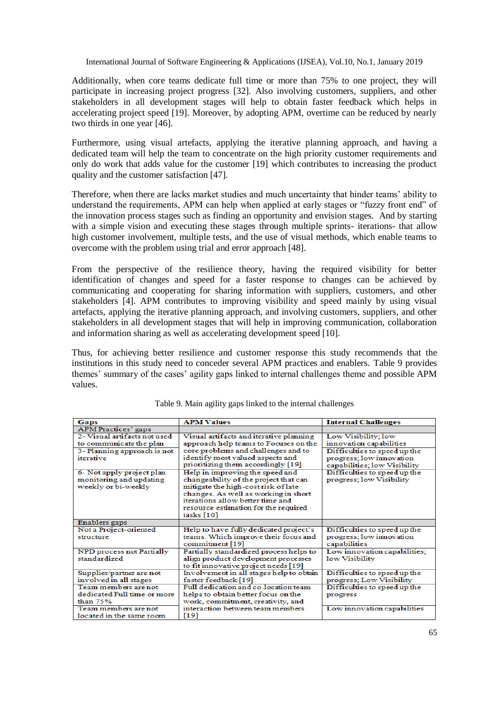Additionally, when core teams dedicate full time or more than 75% to one project, they will participate in increasing project progress [32]. Also involving customers, suppliers, and other stakeholders in all development stages will help to obtain faster feedback which helps in accelerating project speed [19]. Moreover, by adopting APM, overtime can be reduced by nearly two thirds in one year [46].

Furthermore, using visual artefacts, applying the iterative planning approach, and having a dedicated team will help the team to concentrate on the high priority customer requirements and only do work that adds value for the customer [19] which contributes to increasing the product quality and the customer satisfaction [47].

Therefore, when there are lacks market studies and much uncertainty that hinder teams' ability to understand the requirements, APM can help when applied at early stages or "fuzzy front end" of the innovation process stages such as finding an opportunity and envision stages. And by starting with a simple vision and executing these stages through multiple sprints- iterations- that allow high customer involvement, multiple tests, and the use of visual methods, which enable teams to overcome with the problem using trial and error approach [48].

From the perspective of the resilience theory, having the required visibility for better identification of changes and speed for a faster response to changes can be achieved by communicating and cooperating for sharing information with suppliers, customers, and other stakeholders [4]. APM contributes to improving visibility and speed mainly by using visual artefacts, applying the iterative planning approach, and involving customers, suppliers, and other stakeholders in all development stages that will help in improving communication, collaboration and information sharing as well as accelerating development speed [10].

Thus, for achieving better resilience and customer response this study recommends that the institutions in this study need to conceder several APM practices and enablers. Table 9 provides themes' summary of the cases' agility gaps linked to internal challenges theme and possible APM values.

| Gaps                         | <b>APM Values</b>                        | <b>Internal Challenges</b>   |
|------------------------------|------------------------------------------|------------------------------|
| APM Practices' gaps          |                                          |                              |
| 2- Visual artifacts not used | Visual artifacts and iterative planning  | Low Visibility; low          |
| to communicate the plan      | approach help teams to Focuses on the    | innovation capabilities      |
| 3- Planning approach is not  | core problems and challenges and to      | Difficulties to speed up the |
| iterative                    | identify most valued aspects and         | progress; low innovation     |
|                              | prioritizing them accordingly [19]       | capabilities; low Visibility |
| 6- Not apply project plan    | Help in improving the speed and          | Difficulties to speed up the |
| monitoring and updating      | changeability of the project that can    | progress; low Visibility     |
| weekly or bi-weekly          | mitigate the high-cost risk of late      |                              |
|                              | changes. As well as working in short     |                              |
|                              | iterations allow better time and         |                              |
|                              | resource estimation for the required     |                              |
|                              | tasks $[10]$                             |                              |
| Enablers gaps                |                                          |                              |
| Not a Project-oriented       | Help to have fully dedicated project's   | Difficulties to speed up the |
| structure                    | teams. Which improve their focus and     | progress; low innovation     |
|                              | commitment [19]                          | capabilities                 |
| NPD process not Partially    | Partially standardized process helps to  | Low innovation capabilities: |
| standardized                 | align product development processes      | low Visibility               |
|                              | to fit innovative project needs [19]     |                              |
| Supplier/partner are not     | Involvement in all stages help to obtain | Difficulties to speed up the |
| involved in all stages       | faster feedback [19]                     | progress; Low Visibility     |
| Team members are not         | Full dedication and co-location team     | Difficulties to speed up the |
| dedicated Full time or more  | helps to obtain better focus on the      | progress                     |
| than 75%                     | work, commitment, creativity, and        |                              |
| Team members are not         | interaction between team members         | Low innovation capabilities  |
| located in the same room     | [19]                                     |                              |

Table 9. Main agility gaps linked to the internal challenges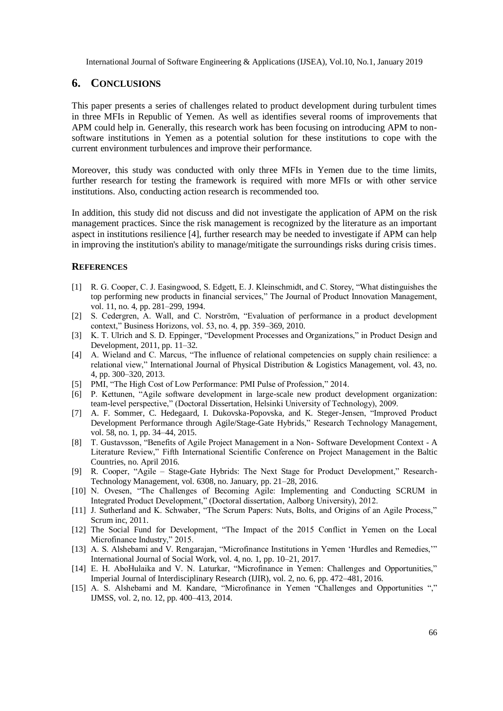## **6. CONCLUSIONS**

This paper presents a series of challenges related to product development during turbulent times in three MFIs in Republic of Yemen. As well as identifies several rooms of improvements that APM could help in. Generally, this research work has been focusing on introducing APM to nonsoftware institutions in Yemen as a potential solution for these institutions to cope with the current environment turbulences and improve their performance.

Moreover, this study was conducted with only three MFIs in Yemen due to the time limits, further research for testing the framework is required with more MFIs or with other service institutions. Also, conducting action research is recommended too.

In addition, this study did not discuss and did not investigate the application of APM on the risk management practices. Since the risk management is recognized by the literature as an important aspect in institutions resilience [4], further research may be needed to investigate if APM can help in improving the institution's ability to manage/mitigate the surroundings risks during crisis times.

#### **REFERENCES**

- [1] R. G. Cooper, C. J. Easingwood, S. Edgett, E. J. Kleinschmidt, and C. Storey, "What distinguishes the top performing new products in financial services," The Journal of Product Innovation Management, vol. 11, no. 4, pp. 281–299, 1994.
- [2] S. Cedergren, A. Wall, and C. Norström, "Evaluation of performance in a product development context," Business Horizons, vol. 53, no. 4, pp. 359–369, 2010.
- [3] K. T. Ulrich and S. D. Eppinger, "Development Processes and Organizations," in Product Design and Development, 2011, pp. 11–32.
- [4] A. Wieland and C. Marcus, "The influence of relational competencies on supply chain resilience: a relational view," International Journal of Physical Distribution & Logistics Management, vol. 43, no. 4, pp. 300–320, 2013.
- [5] PMI, "The High Cost of Low Performance: PMI Pulse of Profession," 2014.
- [6] P. Kettunen, "Agile software development in large-scale new product development organization: team-level perspective," (Doctoral Dissertation, Helsinki University of Technology), 2009.
- [7] A. F. Sommer, C. Hedegaard, I. Dukovska-Popovska, and K. Steger-Jensen, "Improved Product Development Performance through Agile/Stage-Gate Hybrids," Research Technology Management, vol. 58, no. 1, pp. 34–44, 2015.
- [8] T. Gustavsson, "Benefits of Agile Project Management in a Non- Software Development Context A Literature Review," Fifth International Scientific Conference on Project Management in the Baltic Countries, no. April 2016.
- [9] R. Cooper, "Agile Stage-Gate Hybrids: The Next Stage for Product Development," Research-Technology Management, vol. 6308, no. January, pp. 21–28, 2016.
- [10] N. Ovesen, "The Challenges of Becoming Agile: Implementing and Conducting SCRUM in Integrated Product Development," (Doctoral dissertation, Aalborg University), 2012.
- [11] J. Sutherland and K. Schwaber, "The Scrum Papers: Nuts, Bolts, and Origins of an Agile Process," Scrum inc, 2011.
- [12] The Social Fund for Development, "The Impact of the 2015 Conflict in Yemen on the Local Microfinance Industry," 2015.
- [13] A. S. Alshebami and V. Rengarajan, "Microfinance Institutions in Yemen 'Hurdles and Remedies,'" International Journal of Social Work, vol. 4, no. 1, pp. 10–21, 2017.
- [14] E. H. AboHulaika and V. N. Laturkar, "Microfinance in Yemen: Challenges and Opportunities," Imperial Journal of Interdisciplinary Research (IJIR), vol. 2, no. 6, pp. 472–481, 2016.
- [15] A. S. Alshebami and M. Kandare, "Microfinance in Yemen "Challenges and Opportunities "," IJMSS, vol. 2, no. 12, pp. 400–413, 2014.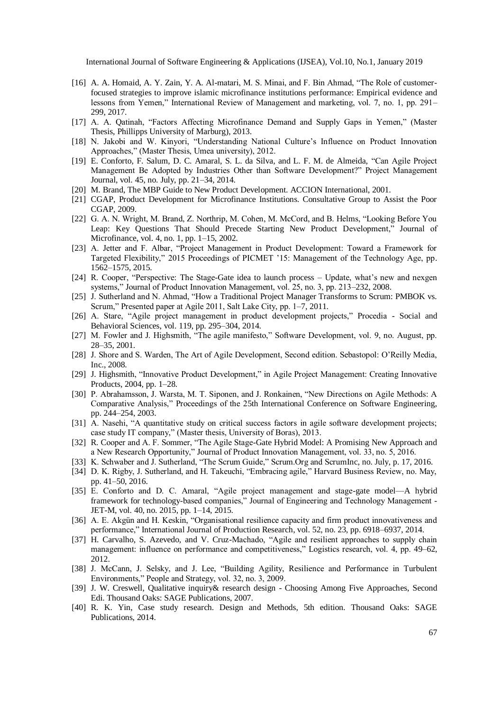- [16] A. A. Homaid, A. Y. Zain, Y. A. Al-matari, M. S. Minai, and F. Bin Ahmad, "The Role of customerfocused strategies to improve islamic microfinance institutions performance: Empirical evidence and lessons from Yemen," International Review of Management and marketing, vol. 7, no. 1, pp. 291– 299, 2017.
- [17] A. A. Qatinah, "Factors Affecting Microfinance Demand and Supply Gaps in Yemen," (Master Thesis, Phillipps University of Marburg), 2013.
- [18] N. Jakobi and W. Kinyori, "Understanding National Culture's Influence on Product Innovation Approaches," (Master Thesis, Umea university), 2012.
- [19] E. Conforto, F. Salum, D. C. Amaral, S. L. da Silva, and L. F. M. de Almeida, "Can Agile Project Management Be Adopted by Industries Other than Software Development?" Project Management Journal, vol. 45, no. July, pp. 21–34, 2014.
- [20] M. Brand, The MBP Guide to New Product Development. ACCION International, 2001.
- [21] CGAP, Product Development for Microfinance Institutions. Consultative Group to Assist the Poor CGAP, 2009.
- [22] G. A. N. Wright, M. Brand, Z. Northrip, M. Cohen, M. McCord, and B. Helms, "Looking Before You Leap: Key Questions That Should Precede Starting New Product Development," Journal of Microfinance, vol. 4, no. 1, pp. 1–15, 2002.
- [23] A. Jetter and F. Albar, "Project Management in Product Development: Toward a Framework for Targeted Flexibility," 2015 Proceedings of PICMET '15: Management of the Technology Age, pp. 1562–1575, 2015.
- [24] R. Cooper, "Perspective: The Stage-Gate idea to launch process Update, what's new and nexgen systems," Journal of Product Innovation Management, vol. 25, no. 3, pp. 213–232, 2008.
- [25] J. Sutherland and N. Ahmad, "How a Traditional Project Manager Transforms to Scrum: PMBOK vs. Scrum," Presented paper at Agile 2011, Salt Lake City, pp. 1–7, 2011.
- [26] A. Stare, "Agile project management in product development projects," Procedia Social and Behavioral Sciences, vol. 119, pp. 295–304, 2014.
- [27] M. Fowler and J. Highsmith, "The agile manifesto," Software Development, vol. 9, no. August, pp. 28–35, 2001.
- [28] J. Shore and S. Warden, The Art of Agile Development, Second edition. Sebastopol: O'Reilly Media, Inc., 2008.
- [29] J. Highsmith, "Innovative Product Development," in Agile Project Management: Creating Innovative Products, 2004, pp. 1–28.
- [30] P. Abrahamsson, J. Warsta, M. T. Siponen, and J. Ronkainen, "New Directions on Agile Methods: A Comparative Analysis," Proceedings of the 25th International Conference on Software Engineering, pp. 244–254, 2003.
- [31] A. Nasehi, "A quantitative study on critical success factors in agile software development projects; case study IT company," (Master thesis, University of Boras), 2013.
- [32] R. Cooper and A. F. Sommer, "The Agile Stage-Gate Hybrid Model: A Promising New Approach and a New Research Opportunity," Journal of Product Innovation Management, vol. 33, no. 5, 2016.
- [33] K. Schwaber and J. Sutherland, "The Scrum Guide," Scrum.Org and ScrumInc, no. July, p. 17, 2016.
- [34] D. K. Rigby, J. Sutherland, and H. Takeuchi, "Embracing agile," Harvard Business Review, no. May, pp. 41–50, 2016.
- [35] E. Conforto and D. C. Amaral, "Agile project management and stage-gate model—A hybrid framework for technology-based companies," Journal of Engineering and Technology Management - JET-M, vol. 40, no. 2015, pp. 1–14, 2015.
- [36] A. E. Akgün and H. Keskin, "Organisational resilience capacity and firm product innovativeness and performance," International Journal of Production Research, vol. 52, no. 23, pp. 6918–6937, 2014.
- [37] H. Carvalho, S. Azevedo, and V. Cruz-Machado, "Agile and resilient approaches to supply chain management: influence on performance and competitiveness," Logistics research, vol. 4, pp. 49–62, 2012.
- [38] J. McCann, J. Selsky, and J. Lee, "Building Agility, Resilience and Performance in Turbulent Environments," People and Strategy, vol. 32, no. 3, 2009.
- [39] J. W. Creswell, Qualitative inquiry& research design Choosing Among Five Approaches, Second Edi. Thousand Oaks: SAGE Publications, 2007.
- [40] R. K. Yin, Case study research. Design and Methods, 5th edition. Thousand Oaks: SAGE Publications, 2014.